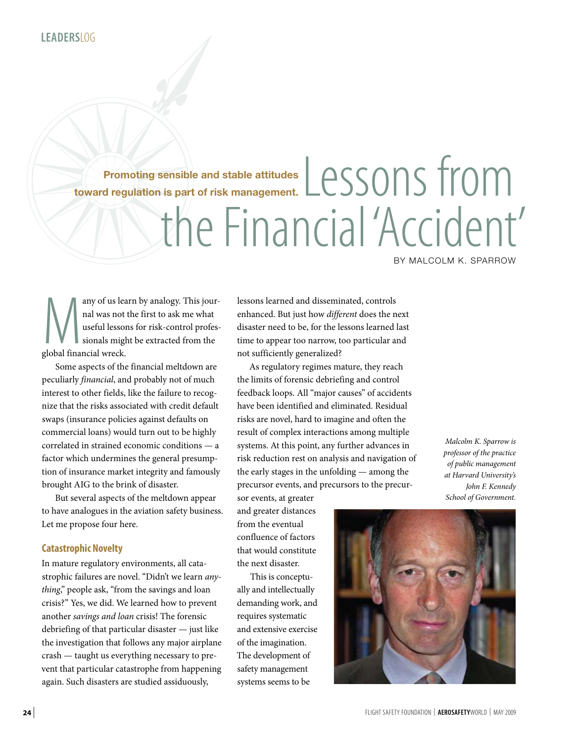**Promoting sensible and stable attitudes toward regulation is part of risk management.**

# Lessons from the Financial 'Accident'

By Malcolm K. Sparrow

any of us learn by analogy. This journal was not the first to ask me what useful lessons for risk-control professionals might be extracted from the global financial wreck. nal was not the first to ask me what useful lessons for risk-control professionals might be extracted from the global financial wreck.

Some aspects of the financial meltdown are peculiarly *financial*, and probably not of much interest to other fields, like the failure to recognize that the risks associated with credit default swaps (insurance policies against defaults on commercial loans) would turn out to be highly correlated in strained economic conditions — a factor which undermines the general presumption of insurance market integrity and famously brought AIG to the brink of disaster.

But several aspects of the meltdown appear to have analogues in the aviation safety business. Let me propose four here.

### **Catastrophic Novelty**

In mature regulatory environments, all catastrophic failures are novel. "Didn't we learn *anything*," people ask, "from the savings and loan crisis?" Yes, we did. We learned how to prevent another *savings and loan* crisis! The forensic debriefing of that particular disaster — just like the investigation that follows any major airplane crash — taught us everything necessary to prevent that particular catastrophe from happening again. Such disasters are studied assiduously,

lessons learned and disseminated, controls enhanced. But just how *different* does the next disaster need to be, for the lessons learned last time to appear too narrow, too particular and not sufficiently generalized?

As regulatory regimes mature, they reach the limits of forensic debriefing and control feedback loops. All "major causes" of accidents have been identified and eliminated. Residual risks are novel, hard to imagine and often the result of complex interactions among multiple systems. At this point, any further advances in risk reduction rest on analysis and navigation of the early stages in the unfolding — among the precursor events, and precursors to the precur-

sor events, at greater and greater distances from the eventual confluence of factors that would constitute the next disaster.

This is conceptually and intellectually demanding work, and requires systematic and extensive exercise of the imagination. The development of safety management systems seems to be

*Malcolm K. Sparrow is professor of the practice of public management at Harvard University's John F. Kennedy School of Government.*